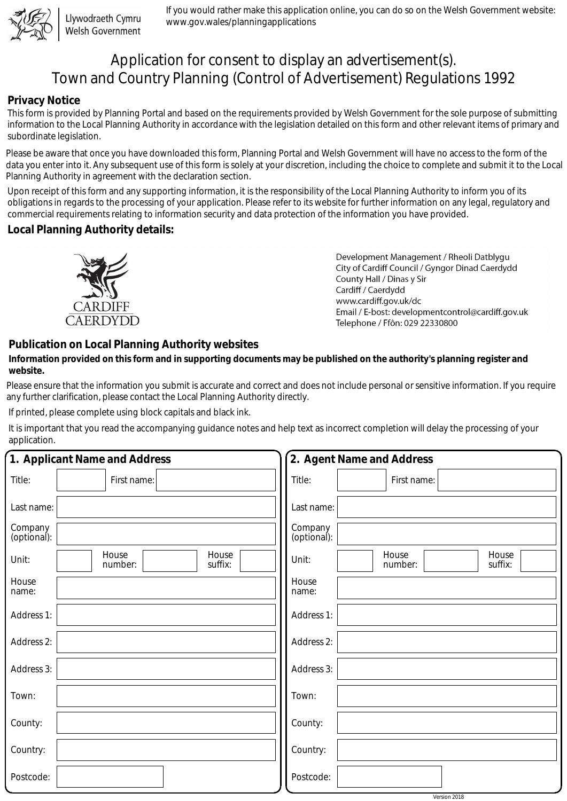

Llywodraeth Cymru Welsh Government

If you would rather make this application online, you can do so on the Welsh Government website: www.gov.wales/planningapplications

# Application for consent to display an advertisement(s). Town and Country Planning (Control of Advertisement) Regulations 1992

### **Privacy Notice**

This form is provided by Planning Portal and based on the requirements provided by Welsh Government for the sole purpose of submitting information to the Local Planning Authority in accordance with the legislation detailed on this form and other relevant items of primary and subordinate legislation.

Please be aware that once you have downloaded this form, Planning Portal and Welsh Government will have no access to the form of the data you enter into it. Any subsequent use of this form is solely at your discretion, including the choice to complete and submit it to the Local Planning Authority in agreement with the declaration section.

Upon receipt of this form and any supporting information, it is the responsibility of the Local Planning Authority to inform you of its obligations in regards to the processing of your application. Please refer to its website for further information on any legal, regulatory and commercial requirements relating to information security and data protection of the information you have provided.

#### **Local Planning Authority details:**



Development Management / Rheoli Datblygu City of Cardiff Council / Gyngor Dinad Caerdydd County Hall / Dinas y Sir Cardiff / Caerdydd www.cardiff.gov.uk/dc Email / E-bost: developmentcontrol@cardiff.gov.uk Telephone / Ffôn: 029 22330800

## **Publication on Local Planning Authority websites**

#### **Information provided on this form and in supporting documents may be published on the authority's planning register and website.**

Please ensure that the information you submit is accurate and correct and does not include personal or sensitive information. If you require any further clarification, please contact the Local Planning Authority directly.

If printed, please complete using block capitals and black ink.

It is important that you read the accompanying guidance notes and help text as incorrect completion will delay the processing of your application.

| 1. Applicant Name and Address |                                      | 2. Agent Name and Address                     |  |  |  |
|-------------------------------|--------------------------------------|-----------------------------------------------|--|--|--|
| Title:                        | First name:                          | Title:<br>First name:                         |  |  |  |
| Last name:                    |                                      | Last name:                                    |  |  |  |
| Company<br>(optional):        |                                      | Company<br>(optional):                        |  |  |  |
| Unit:                         | House<br>House<br>number:<br>suffix: | House<br>House<br>Unit:<br>number:<br>suffix: |  |  |  |
| House<br>name:                |                                      | House<br>name:                                |  |  |  |
| Address 1:                    |                                      | Address 1:                                    |  |  |  |
| Address 2:                    |                                      | Address 2:                                    |  |  |  |
| Address 3:                    |                                      | Address 3:                                    |  |  |  |
| Town:                         |                                      | Town:                                         |  |  |  |
| County:                       |                                      | County:                                       |  |  |  |
| Country:                      |                                      | Country:                                      |  |  |  |
| Postcode:                     |                                      | Postcode:                                     |  |  |  |
|                               |                                      | Version 2018                                  |  |  |  |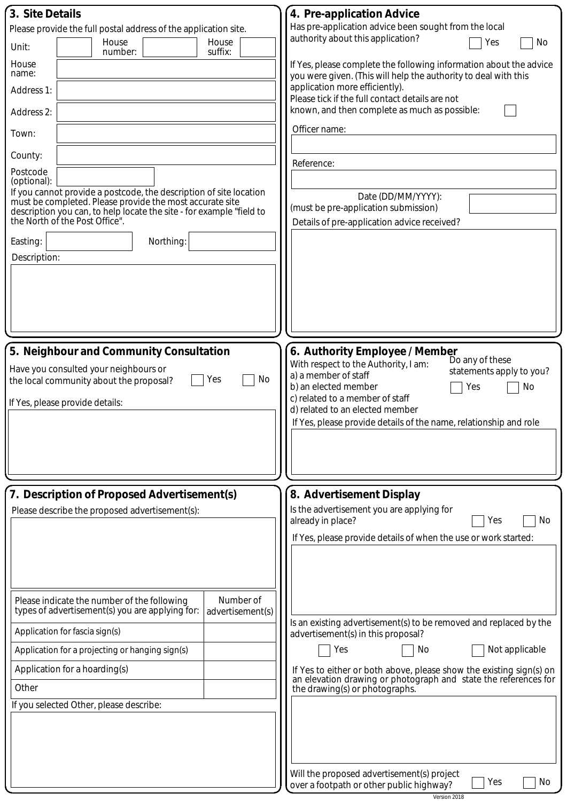| 3. Site Details                                                                                                                                                    | 4. Pre-application Advice                                                                                                              |  |  |
|--------------------------------------------------------------------------------------------------------------------------------------------------------------------|----------------------------------------------------------------------------------------------------------------------------------------|--|--|
| Please provide the full postal address of the application site.                                                                                                    | Has pre-application advice been sought from the local<br>authority about this application?                                             |  |  |
| House<br>House<br>Unit:<br>suffix:<br>number:                                                                                                                      | No<br>Yes                                                                                                                              |  |  |
| House<br>name:                                                                                                                                                     | If Yes, please complete the following information about the advice<br>you were given. (This will help the authority to deal with this  |  |  |
| Address 1:                                                                                                                                                         | application more efficiently).<br>Please tick if the full contact details are not                                                      |  |  |
| Address 2:                                                                                                                                                         | known, and then complete as much as possible:                                                                                          |  |  |
| Town:                                                                                                                                                              | Officer name:                                                                                                                          |  |  |
| County:                                                                                                                                                            | Reference:                                                                                                                             |  |  |
| Postcode<br>(optional):                                                                                                                                            |                                                                                                                                        |  |  |
| If you cannot provide a postcode, the description of site location                                                                                                 | Date (DD/MM/YYYY):                                                                                                                     |  |  |
| must be completed. Please provide the most accurate site<br>description you can, to help locate the site - for example "field to<br>the North of the Post Office". | (must be pre-application submission)<br>Details of pre-application advice received?                                                    |  |  |
|                                                                                                                                                                    |                                                                                                                                        |  |  |
| Easting:<br>Northing:                                                                                                                                              |                                                                                                                                        |  |  |
| Description:                                                                                                                                                       |                                                                                                                                        |  |  |
|                                                                                                                                                                    |                                                                                                                                        |  |  |
|                                                                                                                                                                    |                                                                                                                                        |  |  |
|                                                                                                                                                                    |                                                                                                                                        |  |  |
|                                                                                                                                                                    |                                                                                                                                        |  |  |
| 5. Neighbour and Community Consultation                                                                                                                            | 6. Authority Employee / Member                                                                                                         |  |  |
| Have you consulted your neighbours or                                                                                                                              | Do any of these<br>With respect to the Authority, I am:<br>statements apply to you?<br>a) a member of staff                            |  |  |
| No<br>the local community about the proposal?<br>Yes                                                                                                               | b) an elected member<br>No<br>Yes                                                                                                      |  |  |
| If Yes, please provide details:                                                                                                                                    | c) related to a member of staff                                                                                                        |  |  |
|                                                                                                                                                                    | d) related to an elected member<br>If Yes, please provide details of the name, relationship and role                                   |  |  |
|                                                                                                                                                                    |                                                                                                                                        |  |  |
|                                                                                                                                                                    |                                                                                                                                        |  |  |
|                                                                                                                                                                    |                                                                                                                                        |  |  |
| 7. Description of Proposed Advertisement(s)                                                                                                                        |                                                                                                                                        |  |  |
| Please describe the proposed advertisement(s):                                                                                                                     | 8. Advertisement Display<br>Is the advertisement you are applying for                                                                  |  |  |
|                                                                                                                                                                    | already in place?<br>Yes<br>No                                                                                                         |  |  |
|                                                                                                                                                                    | If Yes, please provide details of when the use or work started:                                                                        |  |  |
|                                                                                                                                                                    |                                                                                                                                        |  |  |
|                                                                                                                                                                    |                                                                                                                                        |  |  |
|                                                                                                                                                                    |                                                                                                                                        |  |  |
| Number of<br>Please indicate the number of the following<br>types of advertisement(s) you are applying for:<br>advertisement(s)                                    |                                                                                                                                        |  |  |
| Application for fascia sign(s)                                                                                                                                     | Is an existing advertisement(s) to be removed and replaced by the<br>advertisement(s) in this proposal?                                |  |  |
| Application for a projecting or hanging sign(s)                                                                                                                    | Yes<br>Not applicable<br>No                                                                                                            |  |  |
| Application for a hoarding(s)                                                                                                                                      | If Yes to either or both above, please show the existing sign(s) on<br>an elevation drawing or photograph and state the references for |  |  |
| Other                                                                                                                                                              | the drawing(s) or photographs.                                                                                                         |  |  |
| If you selected Other, please describe:                                                                                                                            |                                                                                                                                        |  |  |
|                                                                                                                                                                    |                                                                                                                                        |  |  |
|                                                                                                                                                                    |                                                                                                                                        |  |  |
|                                                                                                                                                                    |                                                                                                                                        |  |  |
|                                                                                                                                                                    | Will the proposed advertisement(s) project                                                                                             |  |  |
|                                                                                                                                                                    | Yes<br>No<br>over a footpath or other public highway?<br>Version 2018                                                                  |  |  |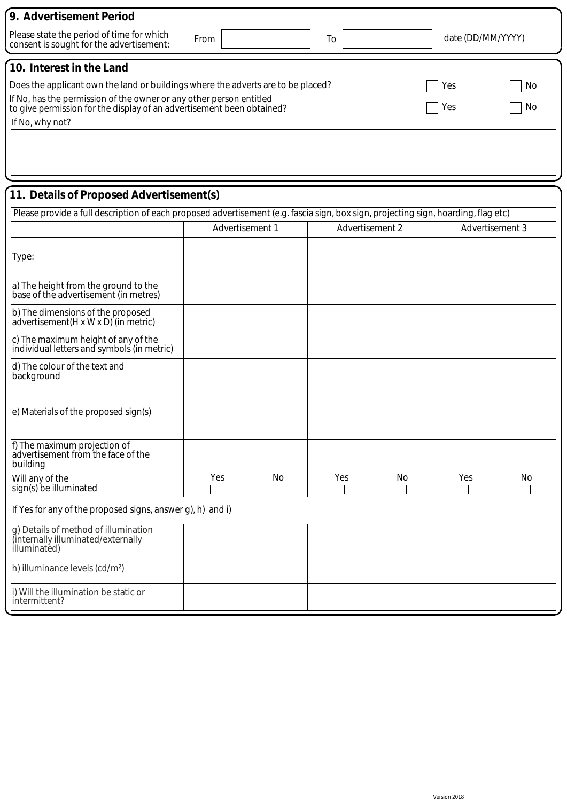| 9. Advertisement Period                                                                                                                                   |                 |                 |    |                   |                 |  |  |  |  |
|-----------------------------------------------------------------------------------------------------------------------------------------------------------|-----------------|-----------------|----|-------------------|-----------------|--|--|--|--|
| Please state the period of time for which<br>consent is sought for the advertisement:                                                                     | From            | To              |    | date (DD/MM/YYYY) |                 |  |  |  |  |
| 10. Interest in the Land                                                                                                                                  |                 |                 |    |                   |                 |  |  |  |  |
| Does the applicant own the land or buildings where the adverts are to be placed?                                                                          |                 |                 |    | Yes               | No              |  |  |  |  |
| If No, has the permission of the owner or any other person entitled<br>No<br>Yes<br>to give permission for the display of an advertisement been obtained? |                 |                 |    |                   |                 |  |  |  |  |
| If No, why not?                                                                                                                                           |                 |                 |    |                   |                 |  |  |  |  |
|                                                                                                                                                           |                 |                 |    |                   |                 |  |  |  |  |
|                                                                                                                                                           |                 |                 |    |                   |                 |  |  |  |  |
| 11. Details of Proposed Advertisement(s)                                                                                                                  |                 |                 |    |                   |                 |  |  |  |  |
| Please provide a full description of each proposed advertisement (e.g. fascia sign, box sign, projecting sign, hoarding, flag etc)                        |                 |                 |    |                   |                 |  |  |  |  |
|                                                                                                                                                           | Advertisement 1 | Advertisement 2 |    |                   | Advertisement 3 |  |  |  |  |
| Type:                                                                                                                                                     |                 |                 |    |                   |                 |  |  |  |  |
| a) The height from the ground to the<br>base of the advertisement (in metres)                                                                             |                 |                 |    |                   |                 |  |  |  |  |
| b) The dimensions of the proposed<br>advertisement(H x W x D) (in metric)                                                                                 |                 |                 |    |                   |                 |  |  |  |  |
| c) The maximum height of any of the<br>individual letters and symbols (in metric)                                                                         |                 |                 |    |                   |                 |  |  |  |  |
| d) The colour of the text and<br>background                                                                                                               |                 |                 |    |                   |                 |  |  |  |  |
| e) Materials of the proposed sign(s)                                                                                                                      |                 |                 |    |                   |                 |  |  |  |  |
| f) The maximum projection of<br>advertisement from the face of the<br>building                                                                            |                 |                 |    |                   |                 |  |  |  |  |
| Will any of the<br>sign(s) be illuminated                                                                                                                 | Yes<br>No       | Yes             | No | Yes               | No              |  |  |  |  |
| If Yes for any of the proposed signs, answer g), h) and i)                                                                                                |                 |                 |    |                   |                 |  |  |  |  |
| g) Details of method of illumination<br>(internally illuminated/externally<br>illuminated)                                                                |                 |                 |    |                   |                 |  |  |  |  |
| h) illuminance levels (cd/m <sup>2</sup> )                                                                                                                |                 |                 |    |                   |                 |  |  |  |  |
| i) Will the illumination be static or<br>lintermittent?                                                                                                   |                 |                 |    |                   |                 |  |  |  |  |